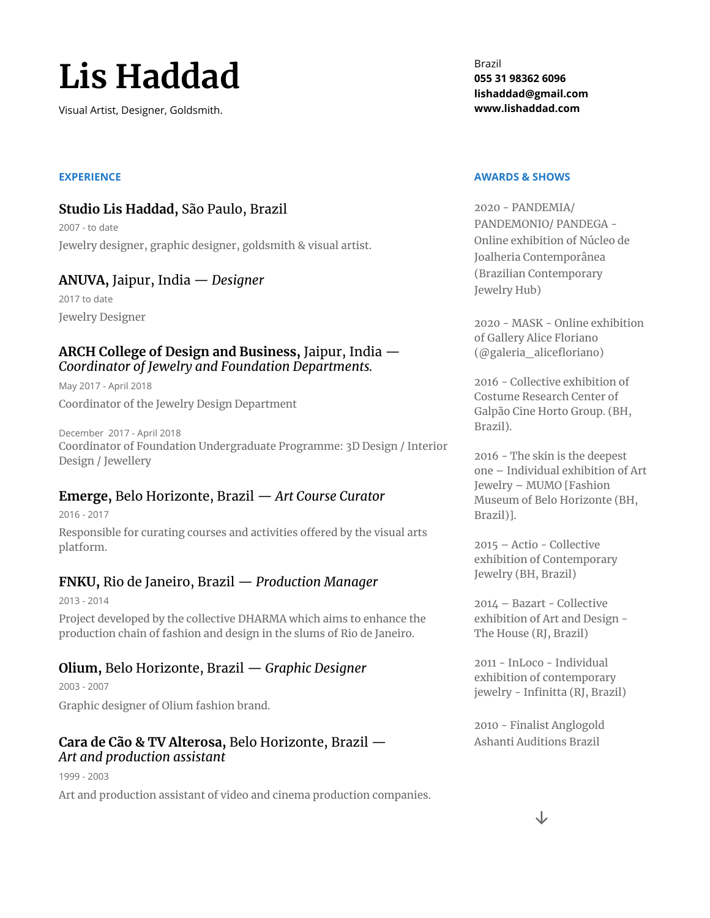# **Lis Haddad**

Visual Artist, Designer, Goldsmith.

#### **EXPERIENCE**

## **Studio Lis Haddad,** São Paulo, Brazil

2007 - to date Jewelry designer, graphic designer, goldsmith & visual artist.

#### **ANUVA,** Jaipur, India — *Designer*

2017 to date Jewelry Designer

#### **ARCH College of Design and Business,** Jaipur, India — *Coordinator of Jewelry and Foundation Departments.*

May 2017 - April 2018 Coordinator of the Jewelry Design Department

December 2017 - April 2018 Coordinator of Foundation Undergraduate Programme: 3D Design / Interior Design / Jewellery

## **Emerge,** Belo Horizonte, Brazil — *Art Course Curator*

2016 - 2017 Responsible for curating courses and activities offered by the visual arts platform.

## **FNKU,** Rio de Janeiro, Brazil — *Production Manager*

2013 - 2014 Project developed by the collective DHARMA which aims to enhance the production chain of fashion and design in the slums of Rio de Janeiro.

## **Olium,** Belo Horizonte, Brazil — *Graphic Designer*

2003 - 2007 Graphic designer of Olium fashion brand.

## **Cara de Cão & TV Alterosa,** Belo Horizonte, Brazil — *Art and production assistant*

1999 - 2003

Art and production assistant of video and cinema production companies.

Brazil **055 31 98362 6096 lishaddad@gmail.com www.lishaddad.com**

#### **AWARDS & SHOWS**

2020 - PANDEMIA/ PANDEMONIO/ PANDEGA - Online exhibition of Núcleo de Joalheria Contemporânea (Brazilian Contemporary Jewelry Hub)

2020 - MASK - Online exhibition of Gallery Alice Floriano (@galeria\_alicefloriano)

2016 - Collective exhibition of Costume Research Center of Galpão Cine Horto Group. (BH, Brazil).

2016 - The skin is the deepest one – Individual exhibition of Art Jewelry – MUMO [Fashion Museum of Belo Horizonte (BH, Brazil)].

2015 – Actio - Collective exhibition of Contemporary Jewelry (BH, Brazil)

2014 – Bazart - Collective exhibition of Art and Design - The House (RJ, Brazil)

2011 - InLoco - Individual exhibition of contemporary jewelry - Infinitta (RJ, Brazil)

2010 - Finalist Anglogold Ashanti Auditions Brazil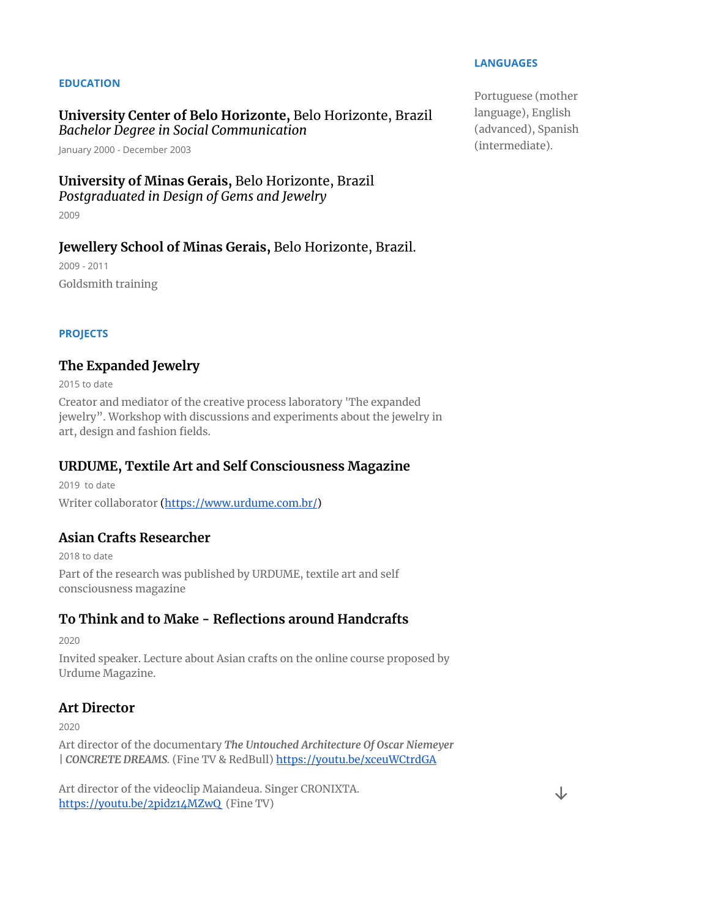#### **EDUCATION**

#### **University Center of Belo Horizonte,** Belo Horizonte, Brazil *Bachelor Degree in Social Communication*

January 2000 - December 2003

#### **University of Minas Gerais,** Belo Horizonte, Brazil *Postgraduated in Design of Gems and Jewelry*

2009

#### **Jewellery School of Minas Gerais,** Belo Horizonte, Brazil.

2009 - 2011 Goldsmith training

**PROJECTS**

#### **The Expanded Jewelry**

2015 to date

Creator and mediator of the creative process laboratory 'The expanded jewelry". Workshop with discussions and experiments about the jewelry in art, design and fashion fields.

#### **URDUME, Textile Art and Self Consciousness Magazine**

2019 to date Writer collaborator [\(https://www.urdume.com.br/\)](https://www.urdume.com.br/)

## **Asian Crafts Researcher**

2018 to date Part of the research was published by URDUME, textile art and self consciousness magazine

## **To Think and to Make - Reflections around Handcrafts**

2020

Invited speaker. Lecture about Asian crafts on the online course proposed by Urdume Magazine.

#### **Art Director**

2020

Art director of the documentary *The Untouched Architecture Of Oscar Niemeyer | CONCRETE DREAMS.* (Fine TV & RedBull) <https://youtu.be/xceuWCtrdGA>

Art director of the videoclip Maiandeua. Singer CRONIXTA. <https://youtu.be/2pidz14MZwQ> (Fine TV)

#### **LANGUAGES**

Portuguese (mother language), English (advanced), Spanish (intermediate).

↓